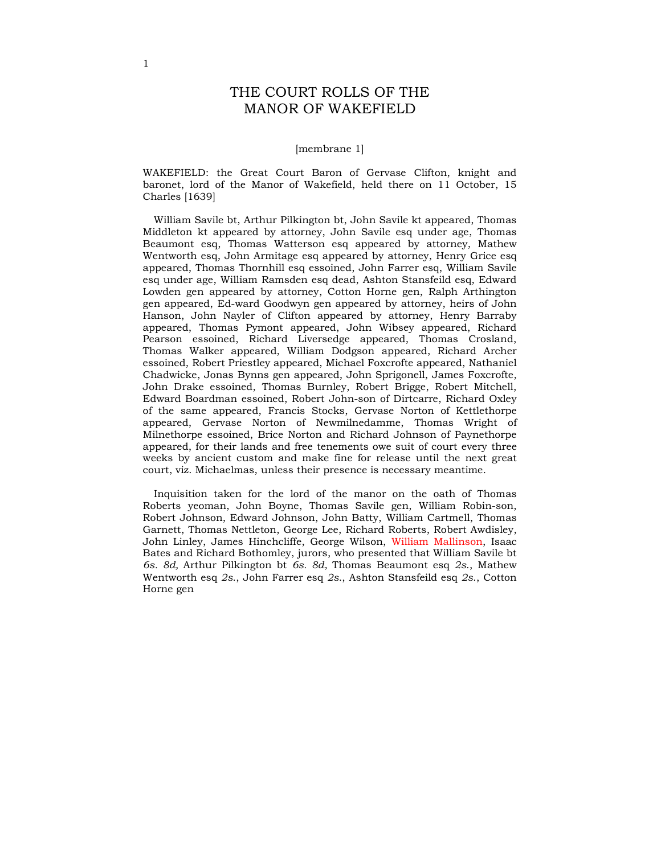# THE COURT ROLLS OF THE MANOR OF WAKEFIELD

### [membrane 1]

WAKEFIELD: the Great Court Baron of Gervase Clifton, knight and baronet, lord of the Manor of Wakefield, held there on 11 October, 15 Charles [1639]

William Savile bt, Arthur Pilkington bt, John Savile kt appeared, Thomas Middleton kt appeared by attorney, John Savile esq under age, Thomas Beaumont esq, Thomas Watterson esq appeared by attorney, Mathew Wentworth esq, John Armitage esq appeared by attorney, Henry Grice esq appeared, Thomas Thornhill esq essoined, John Farrer esq, William Savile esq under age, William Ramsden esq dead, Ashton Stansfeild esq, Edward Lowden gen appeared by attorney, Cotton Horne gen, Ralph Arthington gen appeared, Ed-ward Goodwyn gen appeared by attorney, heirs of John Hanson, John Nayler of Clifton appeared by attorney, Henry Barraby appeared, Thomas Pymont appeared, John Wibsey appeared, Richard Pearson essoined, Richard Liversedge appeared, Thomas Crosland, Thomas Walker appeared, William Dodgson appeared, Richard Archer essoined, Robert Priestley appeared, Michael Foxcrofte appeared, Nathaniel Chadwicke, Jonas Bynns gen appeared, John Sprigonell, James Foxcrofte, John Drake essoined, Thomas Burnley, Robert Brigge, Robert Mitchell, Edward Boardman essoined, Robert John-son of Dirtcarre, Richard Oxley of the same appeared, Francis Stocks, Gervase Norton of Kettlethorpe appeared, Gervase Norton of Newmilnedamme, Thomas Wright of Milnethorpe essoined, Brice Norton and Richard Johnson of Paynethorpe appeared, for their lands and free tenements owe suit of court every three weeks by ancient custom and make fine for release until the next great court, viz. Michaelmas, unless their presence is necessary meantime.

Inquisition taken for the lord of the manor on the oath of Thomas Roberts yeoman, John Boyne, Thomas Savile gen, William Robin-son, Robert Johnson, Edward Johnson, John Batty, William Cartmell, Thomas Garnett, Thomas Nettleton, George Lee, Richard Roberts, Robert Awdisley, John Linley, James Hinchcliffe, George Wilson, William Mallinson, Isaac Bates and Richard Bothomley, jurors, who presented that William Savile bt 6s. 8d, Arthur Pilkington bt 6s. 8d, Thomas Beaumont esq 2s., Mathew Wentworth esq 2s., John Farrer esq 2s., Ashton Stansfeild esq 2s., Cotton Horne gen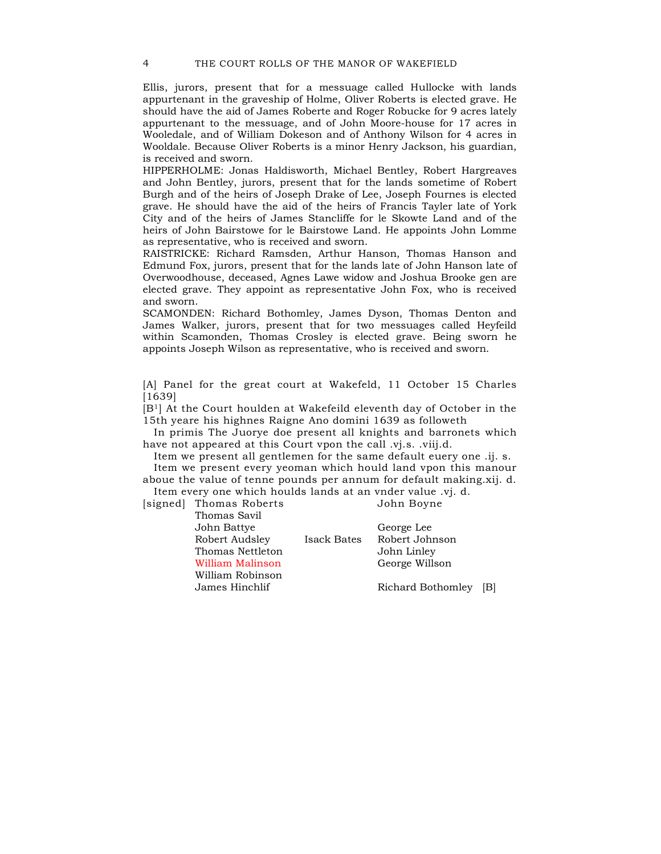Ellis, jurors, present that for a messuage called Hullocke with lands appurtenant in the graveship of Holme, Oliver Roberts is elected grave. He should have the aid of James Roberte and Roger Robucke for 9 acres lately appurtenant to the messuage, and of John Moore-house for 17 acres in Wooledale, and of William Dokeson and of Anthony Wilson for 4 acres in Wooldale. Because Oliver Roberts is a minor Henry Jackson, his guardian, is received and sworn.

HIPPERHOLME: Jonas Haldisworth, Michael Bentley, Robert Hargreaves and John Bentley, jurors, present that for the lands sometime of Robert Burgh and of the heirs of Joseph Drake of Lee, Joseph Fournes is elected grave. He should have the aid of the heirs of Francis Tayler late of York City and of the heirs of James Stancliffe for le Skowte Land and of the heirs of John Bairstowe for le Bairstowe Land. He appoints John Lomme as representative, who is received and sworn.

RAISTRICKE: Richard Ramsden, Arthur Hanson, Thomas Hanson and Edmund Fox, jurors, present that for the lands late of John Hanson late of Overwoodhouse, deceased, Agnes Lawe widow and Joshua Brooke gen are elected grave. They appoint as representative John Fox, who is received and sworn.

SCAMONDEN: Richard Bothomley, James Dyson, Thomas Denton and James Walker, jurors, present that for two messuages called Heyfeild within Scamonden, Thomas Crosley is elected grave. Being sworn he appoints Joseph Wilson as representative, who is received and sworn.

[A] Panel for the great court at Wakefeld, 11 October 15 Charles [1639]

[B<sup>1</sup>] At the Court houlden at Wakefeild eleventh day of October in the 15th yeare his highnes Raigne Ano domini 1639 as followeth

In primis The Juorye doe present all knights and barronets which have not appeared at this Court vpon the call .vj.s. .viij.d.

Item we present all gentlemen for the same default euery one .ij. s.

Item we present every yeoman which hould land vpon this manour aboue the value of tenne pounds per annum for default making.xij. d. Item every one which houlds lands at an vnder value .vj. d.

[signed] Thomas Roberts John Boyne

|             | George Lee            |  |
|-------------|-----------------------|--|
| Isack Bates | Robert Johnson        |  |
|             | John Linley           |  |
|             | George Willson        |  |
|             |                       |  |
|             | Richard Bothomley [B] |  |
|             |                       |  |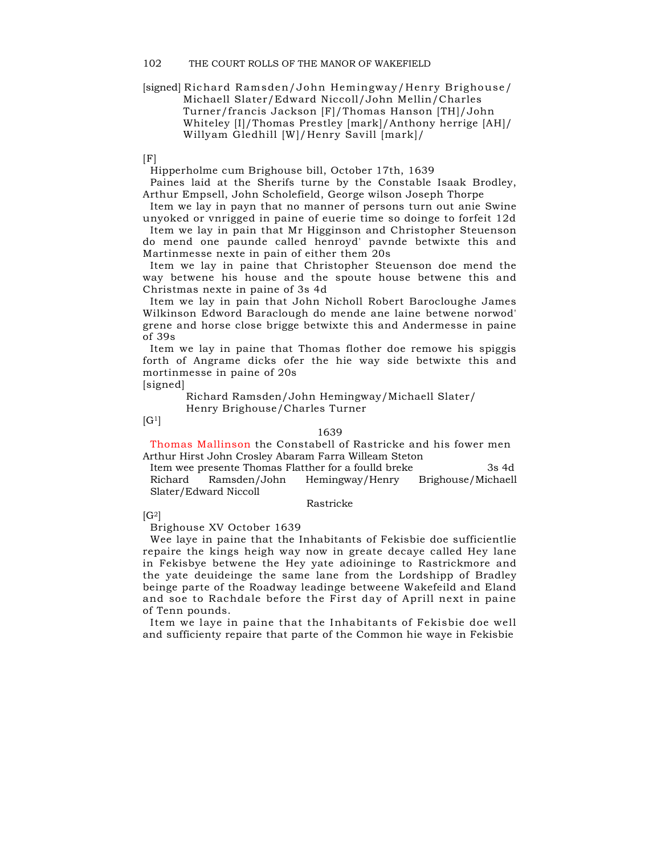### [signed] Richard Ramsden/John Hemingway/Henry Brighouse/ Michaell Slater/Edward Niccoll/John Mellin/Charles Turner/francis Jackson [F]/Thomas Hanson [TH]/John Whiteley [I]/Thomas Prestley [mark]/Anthony herrige [AH]/ Willyam Gledhill [W]/Henry Savill [mark]/

 $[F]$ 

Hipperholme cum Brighouse bill, October 17th, 1639

Paines laid at the Sherifs turne by the Constable Isaak Brodley, Arthur Empsell, John Scholefield, George wilson Joseph Thorpe

Item we lay in payn that no manner of persons turn out anie Swine unyoked or vnrigged in paine of euerie time so doinge to forfeit 12d

Item we lay in pain that Mr Higginson and Christopher Steuenson do mend one paunde called henroyd' pavnde betwixte this and Martinmesse nexte in pain of either them 20s

Item we lay in paine that Christopher Steuenson doe mend the way betwene his house and the spoute house betwene this and Christmas nexte in paine of 3s 4d

Item we lay in pain that John Nicholl Robert Barocloughe James Wilkinson Edword Baraclough do mende ane laine betwene norwod' grene and horse close brigge betwixte this and Andermesse in paine of 39s

Item we lay in paine that Thomas flother doe remowe his spiggis forth of Angrame dicks ofer the hie way side betwixte this and mortinmesse in paine of 20s

[signed]

Richard Ramsden/John Hemingway/Michaell Slater/ Henry Brighouse/Charles Turner

 $[G<sup>1</sup>]$ 

#### 1639

Thomas Mallinson the Constabell of Rastricke and his fower men Arthur Hirst John Crosley Abaram Farra Willeam Steton

Item wee presente Thomas Flatther for a foulld breke 3s 4d Richard Ramsden/John Hemingway/Henry Brighouse/Michaell Slater/Edward Niccoll

#### Rastricke

 $[G^2]$ 

Brighouse XV October 1639

Wee laye in paine that the Inhabitants of Fekisbie doe sufficientlie repaire the kings heigh way now in greate decaye called Hey lane in Fekisbye betwene the Hey yate adioininge to Rastrickmore and the yate deuideinge the same lane from the Lordshipp of Bradley beinge parte of the Roadway leadinge betweene Wakefeild and Eland and soe to Rachdale before the First day of Aprill next in paine of Tenn pounds.

Item we laye in paine that the Inhabitants of Fekisbie doe well and sufficienty repaire that parte of the Common hie waye in Fekisbie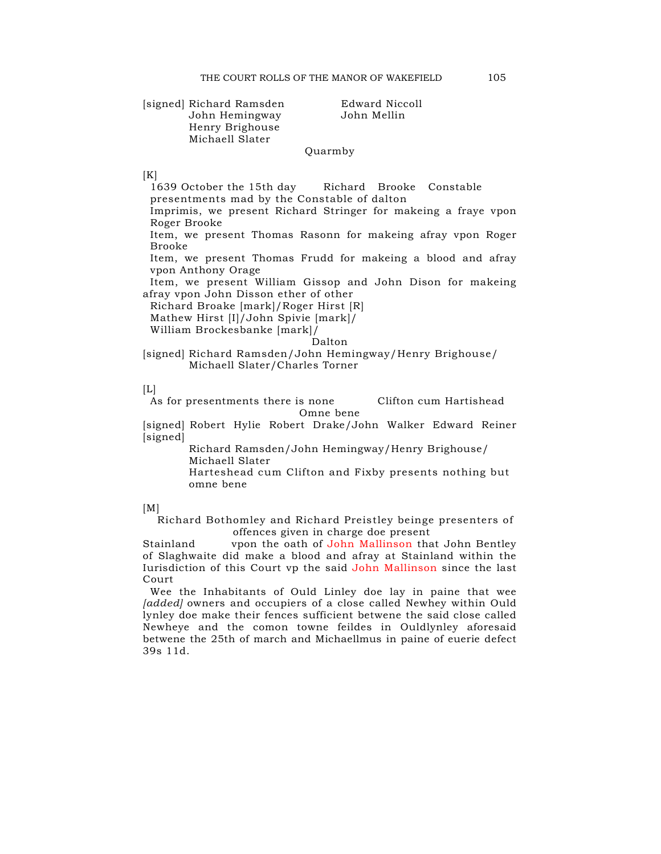# [signed] Richard Ramsden Edward Niccoll John Hemingway Henry Brighouse Michaell Slater

### Quarmby

#### $[K]$

1639 October the 15th day Richard Brooke Constable presentments mad by the Constable of dalton Imprimis, we present Richard Stringer for makeing a fraye vpon Roger Brooke Item, we present Thomas Rasonn for makeing afray vpon Roger Brooke Item, we present Thomas Frudd for makeing a blood and afray vpon Anthony Orage Item, we present William Gissop and John Dison for makeing afray vpon John Disson ether of other Richard Broake [mark]/Roger Hirst [R] Mathew Hirst [I]/John Spivie [mark]/ William Brockesbanke [mark]/ Dalton

[signed] Richard Ramsden/John Hemingway/Henry Brighouse/ Michaell Slater/Charles Torner

#### $[L]$

As for presentments there is none Clifton cum Hartishead Omne bene

[signed] Robert Hylie Robert Drake/John Walker Edward Reiner [signed]

> Richard Ramsden/John Hemingway/Henry Brighouse/ Michaell Slater

Harteshead cum Clifton and Fixby presents nothing but omne bene

### $[M]$

Richard Bothomley and Richard Preistley beinge presenters of offences given in charge doe present

Stainland vpon the oath of John Mallinson that John Bentley of Slaghwaite did make a blood and afray at Stainland within the Iurisdiction of this Court vp the said John Mallinson since the last Court

Wee the Inhabitants of Ould Linley doe lay in paine that wee [added] owners and occupiers of a close called Newhey within Ould lynley doe make their fences sufficient betwene the said close called Newheye and the comon towne feildes in Ouldlynley aforesaid betwene the 25th of march and Michaellmus in paine of euerie defect 39s 11d.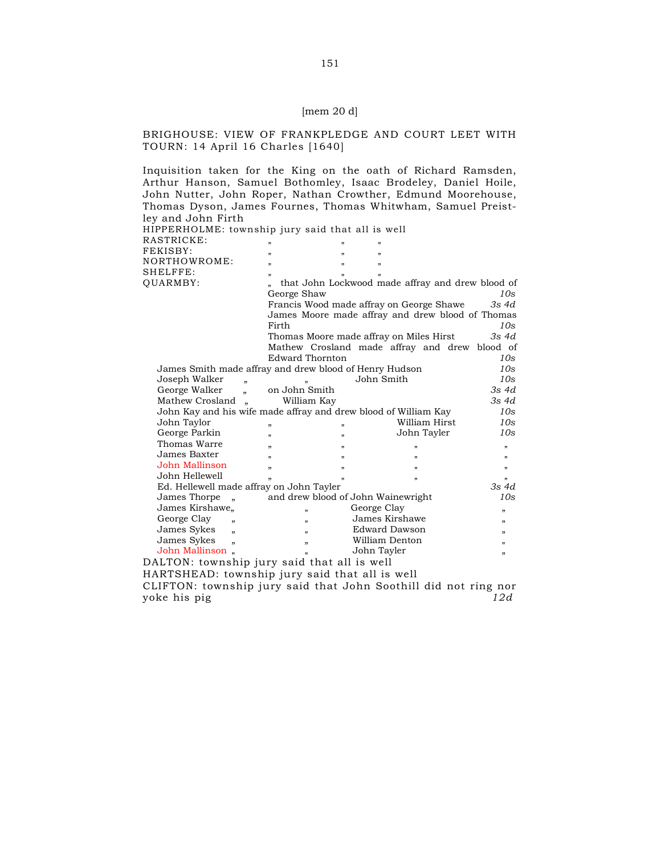# [mem 20 d]

# BRIGHOUSE: VIEW OF FRANKPLEDGE AND COURT LEET WITH TOURN: 14 April 16 Charles [1640]

Inquisition taken for the King on the oath of Richard Ramsden, Arthur Hanson, Samuel Bothomley, Isaac Brodeley, Daniel Hoile, John Nutter, John Roper, Nathan Crowther, Edmund Moorehouse, Thomas Dyson, James Fournes, Thomas Whitwham, Samuel Preistley and John Firth  $\frac{1}{2}$  intervals that all is well

| HIPPERHOLME: township jury said that all is well                |                                    |                         |                                                  |                           |  |  |  |
|-----------------------------------------------------------------|------------------------------------|-------------------------|--------------------------------------------------|---------------------------|--|--|--|
| RASTRICKE:                                                      |                                    |                         |                                                  |                           |  |  |  |
| FEKISBY:                                                        | $\overline{\mathbf{z}}$            | $\overline{1}$          | $\overline{\mathbf{5}}$                          |                           |  |  |  |
| NORTHOWROME:                                                    | $\overline{\mathbf{z}}$            | $\mathbf{v}$            | $\overline{\mathbf{2}}$                          |                           |  |  |  |
| SHELFFE:                                                        | $\overline{\mathbf{5}}$            |                         |                                                  |                           |  |  |  |
| <b>OUARMBY:</b>                                                 |                                    |                         | that John Lockwood made affray and drew blood of |                           |  |  |  |
|                                                                 | George Shaw                        |                         |                                                  | 10s                       |  |  |  |
|                                                                 |                                    |                         | Francis Wood made affray on George Shawe         | 3s 4d                     |  |  |  |
|                                                                 |                                    |                         | James Moore made affray and drew blood of Thomas |                           |  |  |  |
|                                                                 | Firth                              |                         |                                                  | 10s                       |  |  |  |
|                                                                 |                                    |                         | Thomas Moore made affray on Miles Hirst          | 3s 4d                     |  |  |  |
|                                                                 |                                    |                         | Mathew Crosland made affray and drew blood of    |                           |  |  |  |
|                                                                 | <b>Edward Thornton</b>             |                         |                                                  | 10s                       |  |  |  |
| James Smith made affray and drew blood of Henry Hudson          |                                    |                         |                                                  | 10s                       |  |  |  |
| Joseph Walker<br>$\overline{ }$                                 | $\mathbf{v}$                       |                         | John Smith                                       | 10s                       |  |  |  |
| George Walker<br>$\overline{v}$                                 | on John Smith                      |                         |                                                  | $3s$ 4d                   |  |  |  |
| Mathew Crosland<br>$\ddot{ }$                                   | 3s 4d<br>William Kay               |                         |                                                  |                           |  |  |  |
| John Kay and his wife made affray and drew blood of William Kay |                                    |                         |                                                  | 10s                       |  |  |  |
| John Taylor                                                     | $\boldsymbol{v}$                   | $\overline{\mathbf{z}}$ | William Hirst                                    | 10s                       |  |  |  |
| George Parkin                                                   | $\overline{\mathbf{1}}$            | $\mathbf{v}$            | John Tayler                                      | 10s                       |  |  |  |
| Thomas Warre                                                    | $\overline{ }$                     | $\overline{1}$          | 33                                               |                           |  |  |  |
| James Baxter                                                    |                                    |                         |                                                  | 33                        |  |  |  |
| John Mallinson                                                  | $\overline{\mathbf{z}}$            | 33                      | 33                                               | 33                        |  |  |  |
| John Hellewell                                                  | $\overline{ }$                     | $\mathbf{r}$            | $\mathbf{v}$                                     | $\mathbf{r}$              |  |  |  |
| Ed. Hellewell made affray on John Tayler                        |                                    |                         | $\overline{\mathbf{5}}$                          | $\overline{1}$<br>$3s$ 4d |  |  |  |
| James Thorpe<br>$\ddot{ }$                                      | and drew blood of John Wainewright |                         |                                                  | 10s                       |  |  |  |
| James Kirshawe.                                                 |                                    | George Clay             |                                                  |                           |  |  |  |
| George Clay                                                     | $\overline{\mathbf{5}}$            |                         | James Kirshawe                                   | "                         |  |  |  |
| $\overline{1}$<br>James Sykes                                   | $\overline{\mathbf{5}}$            | Edward Dawson           |                                                  | , 2                       |  |  |  |
| $\overline{\mathbf{z}}$<br>James Sykes                          | 33                                 | William Denton          |                                                  | "<br>22                   |  |  |  |
| $\overline{\mathbf{z}}$<br>John Mallinson.                      | $\boldsymbol{v}$                   | John Tayler             |                                                  |                           |  |  |  |
| $\overline{\phantom{a}}$<br>11                                  |                                    |                         |                                                  |                           |  |  |  |
| DALTON: township jury said that all is well                     |                                    |                         |                                                  |                           |  |  |  |
| HARTSHEAD: township jury said that all is well                  |                                    |                         |                                                  |                           |  |  |  |
| CLIFTON: township jury said that John Soothill did not ring nor |                                    |                         |                                                  |                           |  |  |  |
| voke his pig                                                    |                                    |                         |                                                  | 12d                       |  |  |  |